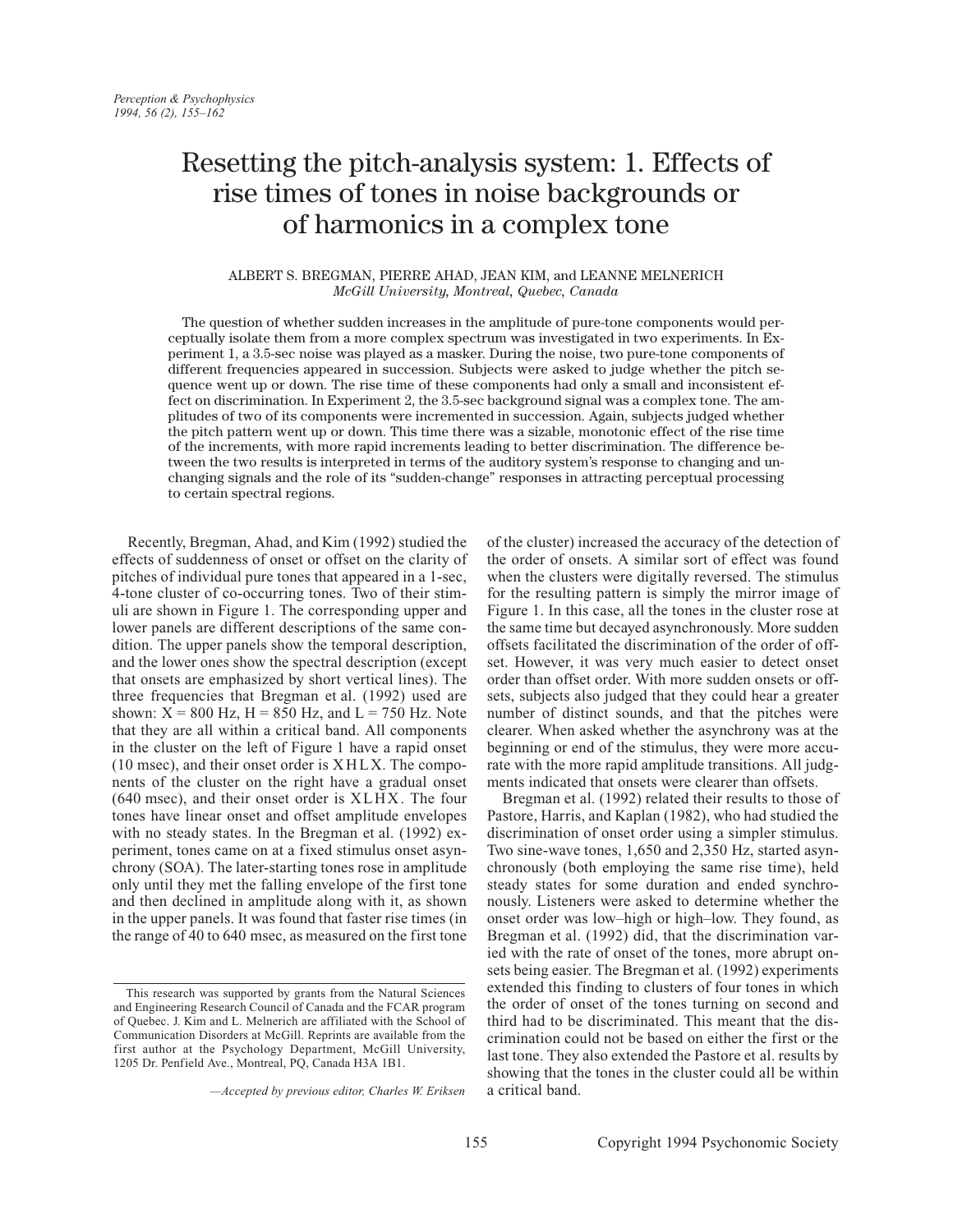# Resetting the pitch-analysis system: 1. Effects of rise times of tones in noise backgrounds or of harmonics in a complex tone

## ALBERT S. BREGMAN, PIERRE AHAD, JEAN KIM, and LEANNE MELNERICH *McGill University, Montreal, Quebec, Canada*

The question of whether sudden increases in the amplitude of pure-tone components would perceptually isolate them from a more complex spectrum was investigated in two experiments. In Experiment 1, a 3.5-sec noise was played as a masker. During the noise, two pure-tone components of different frequencies appeared in succession. Subjects were asked to judge whether the pitch sequence went up or down. The rise time of these components had only a small and inconsistent effect on discrimination. In Experiment 2, the 3.5-sec background signal was a complex tone. The amplitudes of two of its components were incremented in succession. Again, subjects judged whether the pitch pattern went up or down. This time there was a sizable, monotonic effect of the rise time of the increments, with more rapid increments leading to better discrimination. The difference between the two results is interpreted in terms of the auditory system's response to changing and unchanging signals and the role of its "sudden-change" responses in attracting perceptual processing to certain spectral regions.

Recently, Bregman, Ahad, and Kim (1992) studied the effects of suddenness of onset or offset on the clarity of pitches of individual pure tones that appeared in a 1-sec, 4-tone cluster of co-occurring tones. Two of their stimuli are shown in Figure 1. The corresponding upper and lower panels are different descriptions of the same condition. The upper panels show the temporal description, and the lower ones show the spectral description (except that onsets are emphasized by short vertical lines). The three frequencies that Bregman et al. (1992) used are shown:  $X = 800$  Hz,  $H = 850$  Hz, and  $L = 750$  Hz. Note that they are all within a critical band. All components in the cluster on the left of Figure 1 have a rapid onset  $(10$  msec), and their onset order is  $XHLX$ . The components of the cluster on the right have a gradual onset (640 msec), and their onset order is XLHX . The four tones have linear onset and offset amplitude envelopes with no steady states. In the Bregman et al. (1992) experiment, tones came on at a fixed stimulus onset asynchrony (SOA). The later-starting tones rose in amplitude only until they met the falling envelope of the first tone and then declined in amplitude along with it, as shown in the upper panels. It was found that faster rise times (in the range of 40 to 640 msec, as measured on the first tone

*—Accepted by previous editor, Charles W. Eriksen*

of the cluster) increased the accuracy of the detection of the order of onsets. A similar sort of effect was found when the clusters were digitally reversed. The stimulus for the resulting pattern is simply the mirror image of Figure 1. In this case, all the tones in the cluster rose at the same time but decayed asynchronously. More sudden offsets facilitated the discrimination of the order of offset. However, it was very much easier to detect onset order than offset order. With more sudden onsets or offsets, subjects also judged that they could hear a greater number of distinct sounds, and that the pitches were clearer. When asked whether the asynchrony was at the beginning or end of the stimulus, they were more accurate with the more rapid amplitude transitions. All judgments indicated that onsets were clearer than offsets.

Bregman et al. (1992) related their results to those of Pastore, Harris, and Kaplan (1982), who had studied the discrimination of onset order using a simpler stimulus. Two sine-wave tones, 1,650 and 2,350 Hz, started asynchronously (both employing the same rise time), held steady states for some duration and ended synchronously. Listeners were asked to determine whether the onset order was low–high or high–low. They found, as Bregman et al. (1992) did, that the discrimination varied with the rate of onset of the tones, more abrupt onsets being easier. The Bregman et al. (1992) experiments extended this finding to clusters of four tones in which the order of onset of the tones turning on second and third had to be discriminated. This meant that the discrimination could not be based on either the first or the last tone. They also extended the Pastore et al. results by showing that the tones in the cluster could all be within a critical band.

This research was supported by grants from the Natural Sciences and Engineering Research Council of Canada and the FCAR program of Quebec. J. Kim and L. Melnerich are affiliated with the School of Communication Disorders at McGill. Reprints are available from the first author at the Psychology Department, McGill University, 1205 Dr. Penfield Ave., Montreal, PQ, Canada H3A 1B1.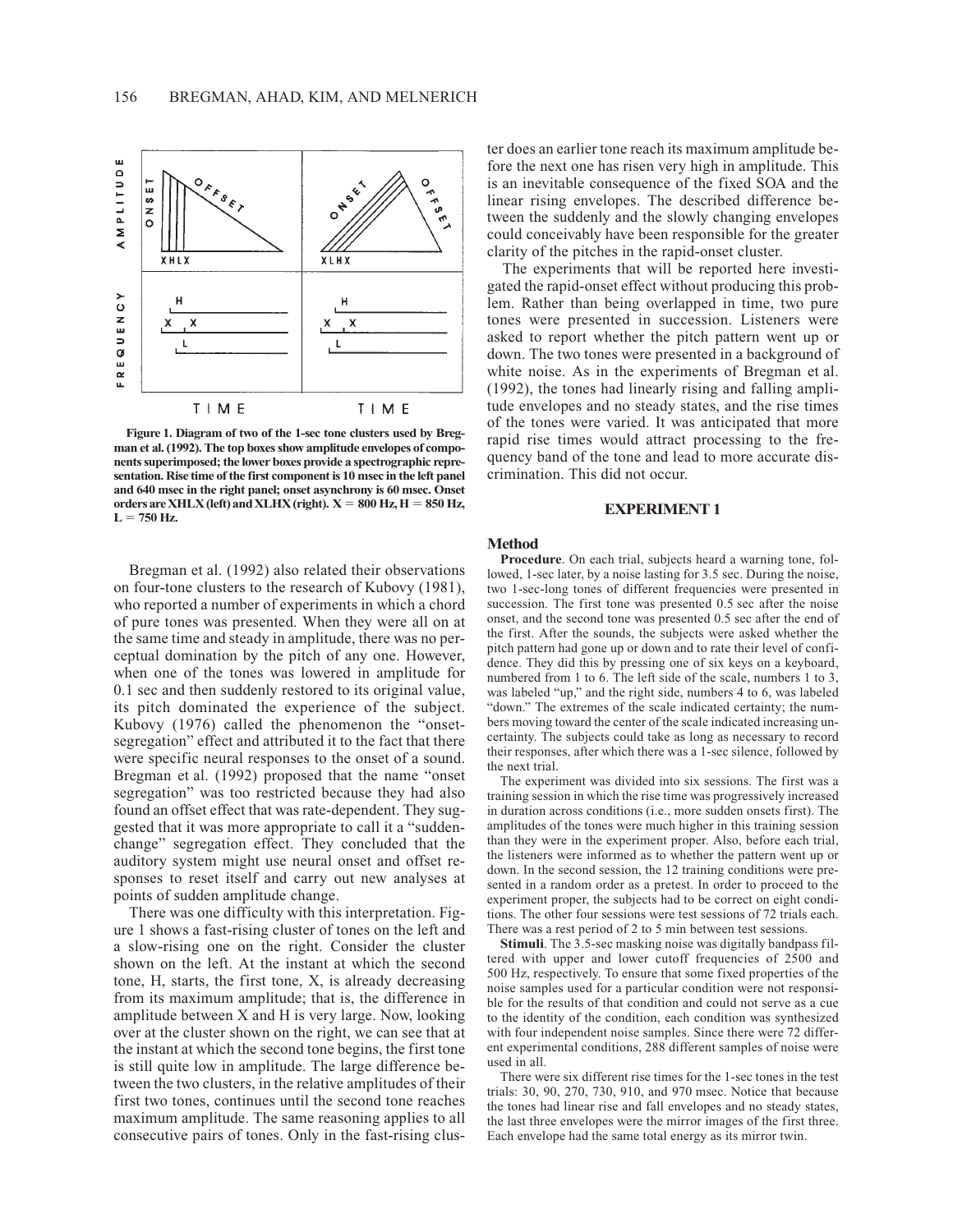

**Figure 1. Diagram of two of the 1-sec tone clusters used by Bregman et al. (1992). The top boxes show amplitude envelopes of components superimposed; the lower boxes provide a spectrographic representation. Rise time of the first component is 10 msec in the left panel and 640 msec in the right panel; onset asynchrony is 60 msec. Onset orders are XHLX (left) and XLHX (right).**  $X = 800$  Hz,  $H = 850$  Hz,  $L = 750$  Hz.

Bregman et al. (1992) also related their observations on four-tone clusters to the research of Kubovy (1981), who reported a number of experiments in which a chord of pure tones was presented. When they were all on at the same time and steady in amplitude, there was no perceptual domination by the pitch of any one. However, when one of the tones was lowered in amplitude for 0.1 sec and then suddenly restored to its original value, its pitch dominated the experience of the subject. Kubovy (1976) called the phenomenon the "onsetsegregation" effect and attributed it to the fact that there were specific neural responses to the onset of a sound. Bregman et al. (1992) proposed that the name "onset segregation" was too restricted because they had also found an offset effect that was rate-dependent. They suggested that it was more appropriate to call it a "suddenchange" segregation effect. They concluded that the auditory system might use neural onset and offset responses to reset itself and carry out new analyses at points of sudden amplitude change.

There was one difficulty with this interpretation. Figure 1 shows a fast-rising cluster of tones on the left and a slow-rising one on the right. Consider the cluster shown on the left. At the instant at which the second tone, H, starts, the first tone, X, is already decreasing from its maximum amplitude; that is, the difference in amplitude between X and H is very large. Now, looking over at the cluster shown on the right, we can see that at the instant at which the second tone begins, the first tone is still quite low in amplitude. The large difference between the two clusters, in the relative amplitudes of their first two tones, continues until the second tone reaches maximum amplitude. The same reasoning applies to all consecutive pairs of tones. Only in the fast-rising cluster does an earlier tone reach its maximum amplitude before the next one has risen very high in amplitude. This is an inevitable consequence of the fixed SOA and the linear rising envelopes. The described difference between the suddenly and the slowly changing envelopes could conceivably have been responsible for the greater clarity of the pitches in the rapid-onset cluster.

The experiments that will be reported here investigated the rapid-onset effect without producing this problem. Rather than being overlapped in time, two pure tones were presented in succession. Listeners were asked to report whether the pitch pattern went up or down. The two tones were presented in a background of white noise. As in the experiments of Bregman et al. (1992), the tones had linearly rising and falling amplitude envelopes and no steady states, and the rise times of the tones were varied. It was anticipated that more rapid rise times would attract processing to the frequency band of the tone and lead to more accurate discrimination. This did not occur.

## **EXPERIMENT 1**

# **Method**

**Procedure**. On each trial, subjects heard a warning tone, followed, 1-sec later, by a noise lasting for 3.5 sec. During the noise, two 1-sec-long tones of different frequencies were presented in succession. The first tone was presented 0.5 sec after the noise onset, and the second tone was presented 0.5 sec after the end of the first. After the sounds, the subjects were asked whether the pitch pattern had gone up or down and to rate their level of confidence. They did this by pressing one of six keys on a keyboard, numbered from 1 to 6. The left side of the scale, numbers 1 to 3, was labeled "up," and the right side, numbers 4 to 6, was labeled "down." The extremes of the scale indicated certainty; the numbers moving toward the center of the scale indicated increasing uncertainty. The subjects could take as long as necessary to record their responses, after which there was a 1-sec silence, followed by the next trial.

The experiment was divided into six sessions. The first was a training session in which the rise time was progressively increased in duration across conditions (i.e., more sudden onsets first). The amplitudes of the tones were much higher in this training session than they were in the experiment proper. Also, before each trial, the listeners were informed as to whether the pattern went up or down. In the second session, the 12 training conditions were presented in a random order as a pretest. In order to proceed to the experiment proper, the subjects had to be correct on eight conditions. The other four sessions were test sessions of 72 trials each. There was a rest period of 2 to 5 min between test sessions.

**Stimuli**. The 3.5-sec masking noise was digitally bandpass filtered with upper and lower cutoff frequencies of 2500 and 500 Hz, respectively. To ensure that some fixed properties of the noise samples used for a particular condition were not responsible for the results of that condition and could not serve as a cue to the identity of the condition, each condition was synthesized with four independent noise samples. Since there were 72 different experimental conditions, 288 different samples of noise were used in all.

There were six different rise times for the 1-sec tones in the test trials: 30, 90, 270, 730, 910, and 970 msec. Notice that because the tones had linear rise and fall envelopes and no steady states, the last three envelopes were the mirror images of the first three. Each envelope had the same total energy as its mirror twin.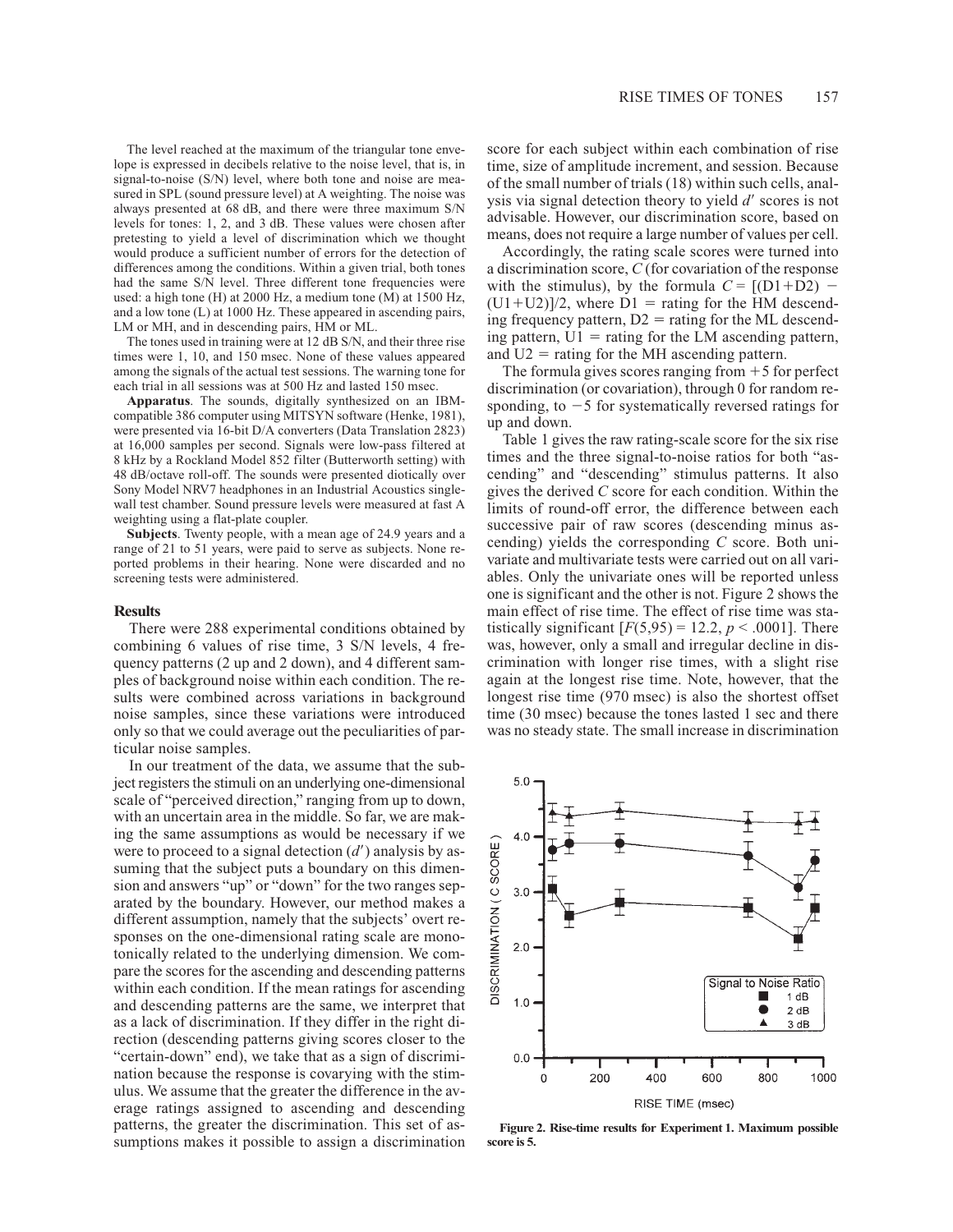The level reached at the maximum of the triangular tone envelope is expressed in decibels relative to the noise level, that is, in signal-to-noise (S/N) level, where both tone and noise are measured in SPL (sound pressure level) at A weighting. The noise was always presented at 68 dB, and there were three maximum S/N levels for tones: 1, 2, and 3 dB. These values were chosen after pretesting to yield a level of discrimination which we thought would produce a sufficient number of errors for the detection of differences among the conditions. Within a given trial, both tones had the same S/N level. Three different tone frequencies were used: a high tone (H) at 2000 Hz, a medium tone (M) at 1500 Hz, and a low tone (L) at 1000 Hz. These appeared in ascending pairs, LM or MH, and in descending pairs, HM or ML.

The tones used in training were at 12 dB S/N, and their three rise times were 1, 10, and 150 msec. None of these values appeared among the signals of the actual test sessions. The warning tone for each trial in all sessions was at 500 Hz and lasted 150 msec.

**Apparatus**. The sounds, digitally synthesized on an IBMcompatible 386 computer using MITSYN software (Henke, 1981), were presented via 16-bit D/A converters (Data Translation 2823) at 16,000 samples per second. Signals were low-pass filtered at 8 kHz by a Rockland Model 852 filter (Butterworth setting) with 48 dB/octave roll-off. The sounds were presented diotically over Sony Model NRV7 headphones in an Industrial Acoustics singlewall test chamber. Sound pressure levels were measured at fast A weighting using a flat-plate coupler.

**Subjects**. Twenty people, with a mean age of 24.9 years and a range of 21 to 51 years, were paid to serve as subjects. None reported problems in their hearing. None were discarded and no screening tests were administered.

#### **Results**

There were 288 experimental conditions obtained by combining 6 values of rise time, 3 S/N levels, 4 frequency patterns (2 up and 2 down), and 4 different samples of background noise within each condition. The results were combined across variations in background noise samples, since these variations were introduced only so that we could average out the peculiarities of particular noise samples.

In our treatment of the data, we assume that the subject registers the stimuli on an underlying one-dimensional scale of "perceived direction," ranging from up to down, with an uncertain area in the middle. So far, we are making the same assumptions as would be necessary if we were to proceed to a signal detection (d') analysis by assuming that the subject puts a boundary on this dimension and answers "up" or "down" for the two ranges separated by the boundary. However, our method makes a different assumption, namely that the subjects' overt responses on the one-dimensional rating scale are monotonically related to the underlying dimension. We compare the scores for the ascending and descending patterns within each condition. If the mean ratings for ascending and descending patterns are the same, we interpret that as a lack of discrimination. If they differ in the right direction (descending patterns giving scores closer to the "certain-down" end), we take that as a sign of discrimination because the response is covarying with the stimulus. We assume that the greater the difference in the average ratings assigned to ascending and descending patterns, the greater the discrimination. This set of assumptions makes it possible to assign a discrimination score for each subject within each combination of rise time, size of amplitude increment, and session. Because of the small number of trials (18) within such cells, analysis via signal detection theory to yield d' scores is not advisable. However, our discrimination score, based on means, does not require a large number of values per cell.

Accordingly, the rating scale scores were turned into a discrimination score, *C* (for covariation of the response with the stimulus), by the formula  $C = [(D1+D2) (U1+U2)/2$ , where  $D1$  = rating for the HM descending frequency pattern,  $D2$  = rating for the ML descending pattern,  $U1$  = rating for the LM ascending pattern, and  $U2$  = rating for the MH ascending pattern.

The formula gives scores ranging from  $+5$  for perfect discrimination (or covariation), through 0 for random responding, to  $-5$  for systematically reversed ratings for up and down.

Table 1 gives the raw rating-scale score for the six rise times and the three signal-to-noise ratios for both "ascending" and "descending" stimulus patterns. It also gives the derived *C* score for each condition. Within the limits of round-off error, the difference between each successive pair of raw scores (descending minus ascending) yields the corresponding *C* score. Both univariate and multivariate tests were carried out on all variables. Only the univariate ones will be reported unless one is significant and the other is not. Figure 2 shows the main effect of rise time. The effect of rise time was statistically significant  $[F(5,95) = 12.2, p < .0001]$ . There was, however, only a small and irregular decline in discrimination with longer rise times, with a slight rise again at the longest rise time. Note, however, that the longest rise time (970 msec) is also the shortest offset time (30 msec) because the tones lasted 1 sec and there was no steady state. The small increase in discrimination



**Figure 2. Rise-time results for Experiment 1. Maximum possible score is 5.**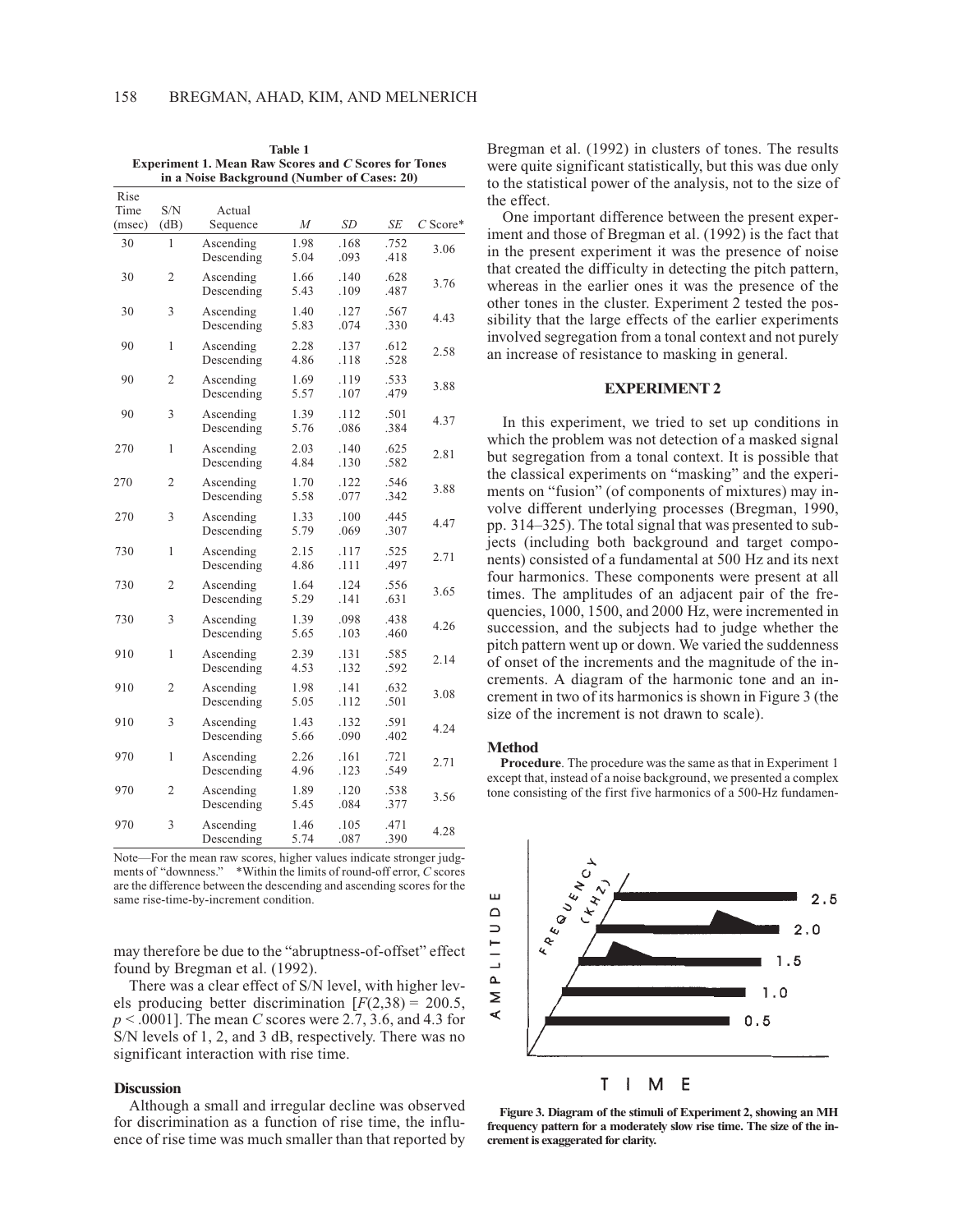| in a Noise Background (Number of Cases: 20) |                |                         |              |              |              |            |  |  |
|---------------------------------------------|----------------|-------------------------|--------------|--------------|--------------|------------|--|--|
| Rise<br>Time                                | S/N            | Actual                  |              |              |              |            |  |  |
| (msec)                                      | (dB)           | Sequence                | М            | <b>SD</b>    | SE           | $C$ Score* |  |  |
| 30                                          | 1              | Ascending<br>Descending | 1.98<br>5.04 | .168<br>.093 | .752<br>.418 | 3.06       |  |  |
| 30                                          | 2              | Ascending<br>Descending | 1.66<br>5.43 | .140<br>.109 | .628<br>.487 | 3.76       |  |  |
| 30                                          | 3              | Ascending<br>Descending | 1.40<br>5.83 | .127<br>.074 | .567<br>.330 | 4.43       |  |  |
| 90                                          | 1              | Ascending<br>Descending | 2.28<br>4.86 | .137<br>.118 | .612<br>.528 | 2.58       |  |  |
| 90                                          | $\overline{2}$ | Ascending<br>Descending | 1.69<br>5.57 | .119<br>.107 | .533<br>.479 | 3.88       |  |  |
| 90                                          | 3              | Ascending<br>Descending | 1.39<br>5.76 | .112<br>.086 | .501<br>.384 | 4.37       |  |  |
| 270                                         | $\mathbf{1}$   | Ascending<br>Descending | 2.03<br>4.84 | .140<br>.130 | .625<br>.582 | 2.81       |  |  |
| 270                                         | $\overline{c}$ | Ascending<br>Descending | 1.70<br>5.58 | .122<br>.077 | .546<br>.342 | 3.88       |  |  |
| 270                                         | 3              | Ascending<br>Descending | 1.33<br>5.79 | .100<br>.069 | .445<br>.307 | 4.47       |  |  |
| 730                                         | $\mathbf{1}$   | Ascending<br>Descending | 2.15<br>4.86 | .117<br>.111 | .525<br>.497 | 2.71       |  |  |
| 730                                         | $\overline{2}$ | Ascending<br>Descending | 1.64<br>5.29 | .124<br>.141 | .556<br>.631 | 3.65       |  |  |
| 730                                         | 3              | Ascending<br>Descending | 1.39<br>5.65 | .098<br>.103 | .438<br>.460 | 4.26       |  |  |
| 910                                         | 1              | Ascending<br>Descending | 2.39<br>4.53 | .131<br>.132 | .585<br>.592 | 2.14       |  |  |
| 910                                         | $\overline{2}$ | Ascending<br>Descending | 1.98<br>5.05 | .141<br>.112 | .632<br>.501 | 3.08       |  |  |
| 910                                         | 3              | Ascending<br>Descending | 1.43<br>5.66 | .132<br>.090 | .591<br>.402 | 4.24       |  |  |
| 970                                         | 1              | Ascending<br>Descending | 2.26<br>4.96 | .161<br>.123 | .721<br>.549 | 2.71       |  |  |
| 970                                         | $\overline{2}$ | Ascending<br>Descending | 1.89<br>5.45 | .120<br>.084 | .538<br>.377 | 3.56       |  |  |
| 970                                         | 3              | Ascending<br>Descending | 1.46<br>5.74 | .105<br>.087 | .471<br>.390 | 4.28       |  |  |

**Table 1 Experiment 1. Mean Raw Scores and** *C* **Scores for Tones**

Note—For the mean raw scores, higher values indicate stronger judgments of "downness." \*Within the limits of round-off error, *C* scores are the difference between the descending and ascending scores for the same rise-time-by-increment condition.

may therefore be due to the "abruptness-of-offset" effect found by Bregman et al. (1992).

There was a clear effect of S/N level, with higher levels producing better discrimination  $[F(2,38) = 200.5,$ *p* < .0001]. The mean *C* scores were 2.7, 3.6, and 4.3 for S/N levels of 1, 2, and 3 dB, respectively. There was no significant interaction with rise time.

# **Discussion**

Although a small and irregular decline was observed for discrimination as a function of rise time, the influence of rise time was much smaller than that reported by Bregman et al. (1992) in clusters of tones. The results were quite significant statistically, but this was due only to the statistical power of the analysis, not to the size of the effect.

One important difference between the present experiment and those of Bregman et al. (1992) is the fact that in the present experiment it was the presence of noise that created the difficulty in detecting the pitch pattern, whereas in the earlier ones it was the presence of the other tones in the cluster. Experiment 2 tested the possibility that the large effects of the earlier experiments involved segregation from a tonal context and not purely an increase of resistance to masking in general.

# **EXPERIMENT 2**

In this experiment, we tried to set up conditions in which the problem was not detection of a masked signal but segregation from a tonal context. It is possible that the classical experiments on "masking" and the experiments on "fusion" (of components of mixtures) may involve different underlying processes (Bregman, 1990, pp. 314–325). The total signal that was presented to subjects (including both background and target components) consisted of a fundamental at 500 Hz and its next four harmonics. These components were present at all times. The amplitudes of an adjacent pair of the frequencies, 1000, 1500, and 2000 Hz, were incremented in succession, and the subjects had to judge whether the pitch pattern went up or down. We varied the suddenness of onset of the increments and the magnitude of the increments. A diagram of the harmonic tone and an increment in two of its harmonics is shown in Figure 3 (the size of the increment is not drawn to scale).

#### **Method**

**Procedure**. The procedure was the same as that in Experiment 1 except that, instead of a noise background, we presented a complex tone consisting of the first five harmonics of a 500-Hz fundamen-

FREQUENC  $\mathbf C$ ш  $2.5$ z  $\Omega$ Ł  $\Rightarrow$  $2.0$  $\frac{1}{2}$  $\Delta$ Σ  $\Omega$ ⋖ 0. 5 T I M - F

**Figure 3. Diagram of the stimuli of Experiment 2, showing an MH frequency pattern for a moderately slow rise time. The size of the increment is exaggerated for clarity.**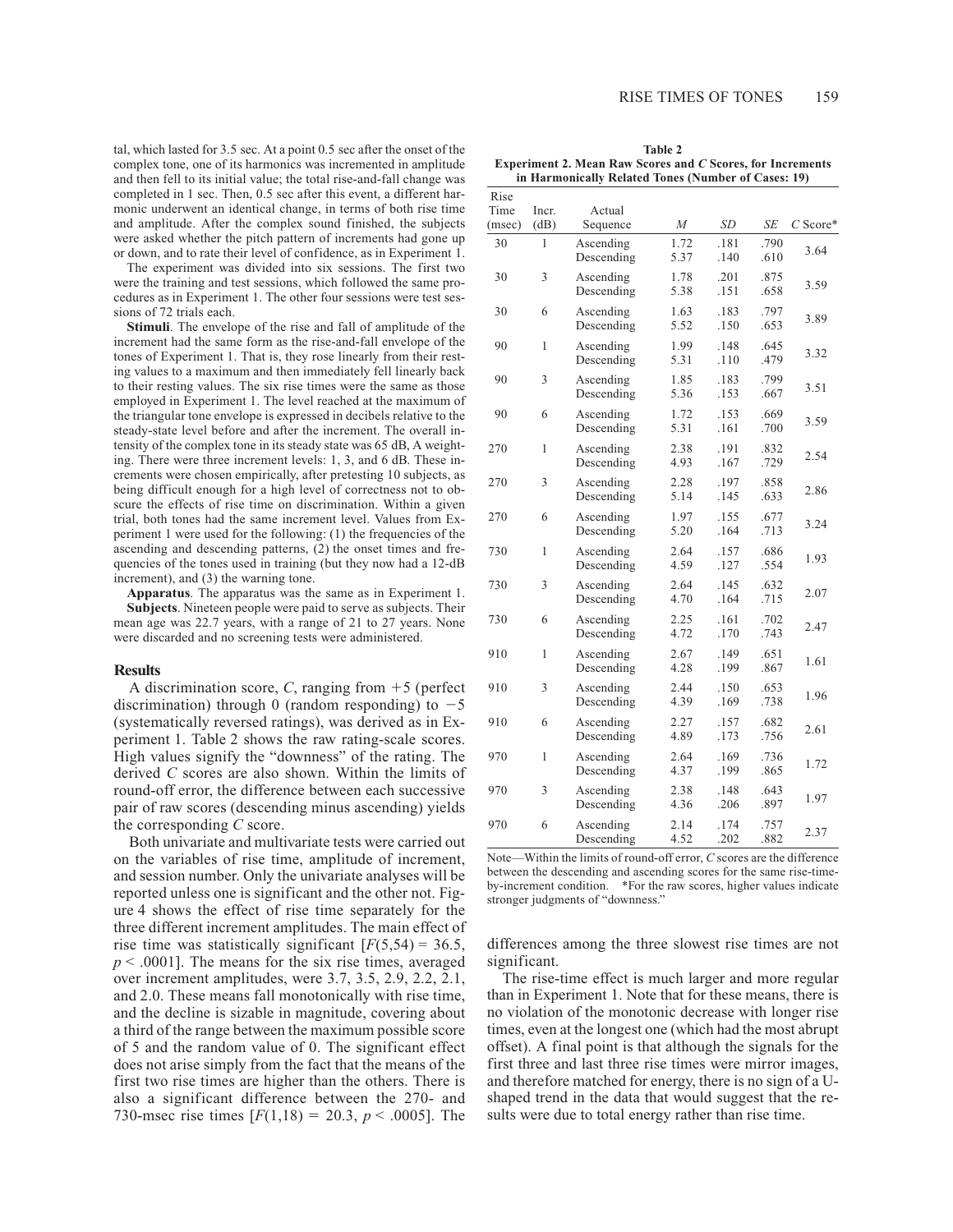tal, which lasted for 3.5 sec. At a point 0.5 sec after the onset of the complex tone, one of its harmonics was incremented in amplitude and then fell to its initial value; the total rise-and-fall change was completed in 1 sec. Then, 0.5 sec after this event, a different harmonic underwent an identical change, in terms of both rise time and amplitude. After the complex sound finished, the subjects were asked whether the pitch pattern of increments had gone up or down, and to rate their level of confidence, as in Experiment 1.

The experiment was divided into six sessions. The first two were the training and test sessions, which followed the same procedures as in Experiment 1. The other four sessions were test sessions of 72 trials each.

**Stimuli**. The envelope of the rise and fall of amplitude of the increment had the same form as the rise-and-fall envelope of the tones of Experiment 1. That is, they rose linearly from their resting values to a maximum and then immediately fell linearly back to their resting values. The six rise times were the same as those employed in Experiment 1. The level reached at the maximum of the triangular tone envelope is expressed in decibels relative to the steady-state level before and after the increment. The overall intensity of the complex tone in its steady state was 65 dB, A weighting. There were three increment levels: 1, 3, and 6 dB. These increments were chosen empirically, after pretesting 10 subjects, as being difficult enough for a high level of correctness not to obscure the effects of rise time on discrimination. Within a given trial, both tones had the same increment level. Values from Experiment 1 were used for the following: (1) the frequencies of the ascending and descending patterns, (2) the onset times and frequencies of the tones used in training (but they now had a 12-dB increment), and (3) the warning tone.

**Apparatus**. The apparatus was the same as in Experiment 1. **Subjects**. Nineteen people were paid to serve as subjects. Their mean age was 22.7 years, with a range of 21 to 27 years. None were discarded and no screening tests were administered.

#### **Results**

A discrimination score,  $C$ , ranging from  $+5$  (perfect discrimination) through 0 (random responding) to  $-5$ (systematically reversed ratings), was derived as in Experiment 1. Table 2 shows the raw rating-scale scores. High values signify the "downness" of the rating. The derived *C* scores are also shown. Within the limits of round-off error, the difference between each successive pair of raw scores (descending minus ascending) yields the corresponding *C* score.

Both univariate and multivariate tests were carried out on the variables of rise time, amplitude of increment, and session number. Only the univariate analyses will be reported unless one is significant and the other not. Figure 4 shows the effect of rise time separately for the three different increment amplitudes. The main effect of rise time was statistically significant  $[F(5,54) = 36.5]$ ,  $p < .0001$ ]. The means for the six rise times, averaged over increment amplitudes, were 3.7, 3.5, 2.9, 2.2, 2.1, and 2.0. These means fall monotonically with rise time, and the decline is sizable in magnitude, covering about a third of the range between the maximum possible score of 5 and the random value of 0. The significant effect does not arise simply from the fact that the means of the first two rise times are higher than the others. There is also a significant difference between the 270- and 730-msec rise times  $[F(1,18) = 20.3, p < .0005]$ . The

| Rise<br>Time | Incr.          | Actual                  |              |              |              |            |
|--------------|----------------|-------------------------|--------------|--------------|--------------|------------|
| (msec)       | (dB)           | Sequence                | M            | <b>SD</b>    | SE           | $C$ Score* |
| 30           | 1              | Ascending<br>Descending | 1.72<br>5.37 | .181<br>.140 | .790<br>.610 | 3.64       |
| 30           | $\overline{3}$ | Ascending<br>Descending | 1.78<br>5.38 | .201<br>.151 | .875<br>.658 | 3.59       |
| 30           | 6              | Ascending<br>Descending | 1.63<br>5.52 | .183<br>.150 | .797<br>.653 | 3.89       |
| 90           | 1              | Ascending<br>Descending | 1.99<br>5.31 | .148<br>.110 | .645<br>.479 | 3.32       |
| 90           | 3              | Ascending<br>Descending | 1.85<br>5.36 | .183<br>.153 | .799<br>.667 | 3.51       |
| 90           | 6              | Ascending<br>Descending | 1.72<br>5.31 | .153<br>.161 | .669<br>.700 | 3.59       |
| 270          | 1              | Ascending<br>Descending | 2.38<br>4.93 | .191<br>.167 | .832<br>.729 | 2.54       |
| 270          | 3              | Ascending<br>Descending | 2.28<br>5.14 | .197<br>.145 | .858<br>.633 | 2.86       |
| 270          | 6              | Ascending<br>Descending | 1.97<br>5.20 | .155<br>.164 | .677<br>.713 | 3.24       |
| 730          | 1              | Ascending<br>Descending | 2.64<br>4.59 | .157<br>.127 | .686<br>.554 | 1.93       |
| 730          | 3              | Ascending<br>Descending | 2.64<br>4.70 | .145<br>.164 | .632<br>.715 | 2.07       |
| 730          | 6              | Ascending<br>Descending | 2.25<br>4.72 | .161<br>.170 | .702<br>.743 | 2.47       |
| 910          | 1              | Ascending<br>Descending | 2.67<br>4.28 | .149<br>.199 | .651<br>.867 | 1.61       |
| 910          | 3              | Ascending<br>Descending | 2.44<br>4.39 | .150<br>.169 | .653<br>.738 | 1.96       |
| 910          | 6              | Ascending<br>Descending | 2.27<br>4.89 | .157<br>.173 | .682<br>.756 | 2.61       |
| 970          | 1              | Ascending<br>Descending | 2.64<br>4.37 | .169<br>.199 | .736<br>.865 | 1.72       |
| 970          | 3              | Ascending<br>Descending | 2.38<br>4.36 | .148<br>.206 | .643<br>.897 | 1.97       |
| 970          | 6              | Ascending<br>Descending | 2.14<br>4.52 | .174<br>.202 | .757<br>.882 | 2.37       |

**Table 2 Experiment 2. Mean Raw Scores and** *C* **Scores, for Increments in Harmonically Related Tones (Number of Cases: 19)** 

Note—Within the limits of round-off error, *C* scores are the difference between the descending and ascending scores for the same rise-timeby-increment condition. \*For the raw scores, higher values indicate stronger judgments of "downness."

differences among the three slowest rise times are not significant.

The rise-time effect is much larger and more regular than in Experiment 1. Note that for these means, there is no violation of the monotonic decrease with longer rise times, even at the longest one (which had the most abrupt offset). A final point is that although the signals for the first three and last three rise times were mirror images, and therefore matched for energy, there is no sign of a Ushaped trend in the data that would suggest that the results were due to total energy rather than rise time.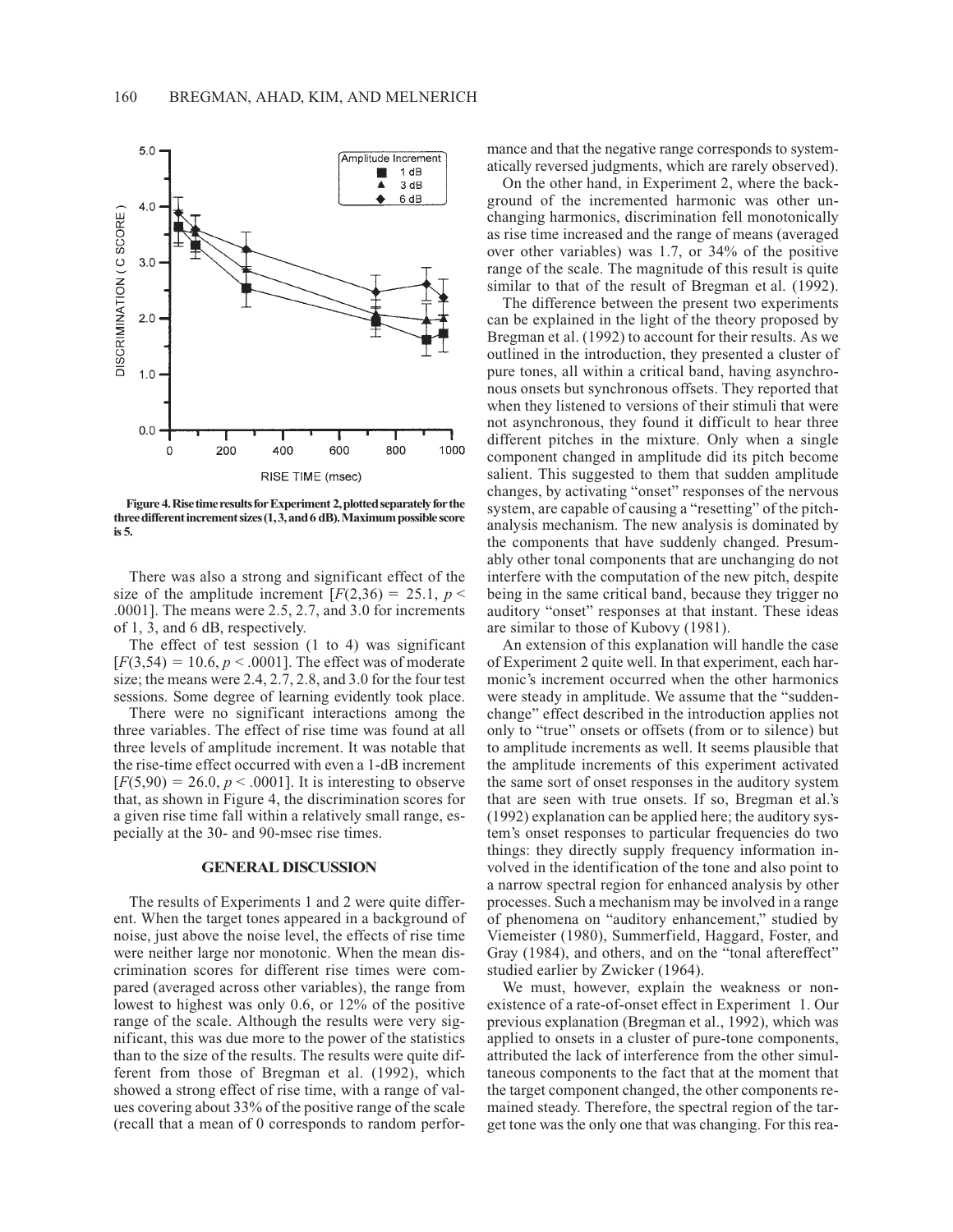

**Figure 4. Rise time results for Experiment 2, plotted separately for the three different increment sizes (1, 3, and 6 dB). Maximum possible score is 5.** 

There was also a strong and significant effect of the size of the amplitude increment  $[F(2,36) = 25.1, p <$ .0001]. The means were 2.5, 2.7, and 3.0 for increments of 1, 3, and 6 dB, respectively.

The effect of test session (1 to 4) was significant  $[F(3,54) = 10.6, p < .0001]$ . The effect was of moderate size; the means were 2.4, 2.7, 2.8, and 3.0 for the four test sessions. Some degree of learning evidently took place.

There were no significant interactions among the three variables. The effect of rise time was found at all three levels of amplitude increment. It was notable that the rise-time effect occurred with even a 1-dB increment  $[F(5,90) = 26.0, p < .0001]$ . It is interesting to observe that, as shown in Figure 4, the discrimination scores for a given rise time fall within a relatively small range, especially at the 30- and 90-msec rise times.

#### **GENERAL DISCUSSION**

The results of Experiments 1 and 2 were quite different. When the target tones appeared in a background of noise, just above the noise level, the effects of rise time were neither large nor monotonic. When the mean discrimination scores for different rise times were compared (averaged across other variables), the range from lowest to highest was only 0.6, or 12% of the positive range of the scale. Although the results were very significant, this was due more to the power of the statistics than to the size of the results. The results were quite different from those of Bregman et al. (1992), which showed a strong effect of rise time, with a range of values covering about 33% of the positive range of the scale (recall that a mean of 0 corresponds to random performance and that the negative range corresponds to systematically reversed judgments, which are rarely observed).

On the other hand, in Experiment 2, where the background of the incremented harmonic was other unchanging harmonics, discrimination fell monotonically as rise time increased and the range of means (averaged over other variables) was 1.7, or 34% of the positive range of the scale. The magnitude of this result is quite similar to that of the result of Bregman et al. (1992).

The difference between the present two experiments can be explained in the light of the theory proposed by Bregman et al. (1992) to account for their results. As we outlined in the introduction, they presented a cluster of pure tones, all within a critical band, having asynchronous onsets but synchronous offsets. They reported that when they listened to versions of their stimuli that were not asynchronous, they found it difficult to hear three different pitches in the mixture. Only when a single component changed in amplitude did its pitch become salient. This suggested to them that sudden amplitude changes, by activating "onset" responses of the nervous system, are capable of causing a "resetting" of the pitchanalysis mechanism. The new analysis is dominated by the components that have suddenly changed. Presumably other tonal components that are unchanging do not interfere with the computation of the new pitch, despite being in the same critical band, because they trigger no auditory "onset" responses at that instant. These ideas are similar to those of Kubovy (1981).

An extension of this explanation will handle the case of Experiment 2 quite well. In that experiment, each harmonic's increment occurred when the other harmonics were steady in amplitude. We assume that the "suddenchange" effect described in the introduction applies not only to "true" onsets or offsets (from or to silence) but to amplitude increments as well. It seems plausible that the amplitude increments of this experiment activated the same sort of onset responses in the auditory system that are seen with true onsets. If so, Bregman et al.'s (1992) explanation can be applied here; the auditory system's onset responses to particular frequencies do two things: they directly supply frequency information involved in the identification of the tone and also point to a narrow spectral region for enhanced analysis by other processes. Such a mechanism may be involved in a range of phenomena on "auditory enhancement," studied by Viemeister (1980), Summerfield, Haggard, Foster, and Gray (1984), and others, and on the "tonal aftereffect" studied earlier by Zwicker (1964).

We must, however, explain the weakness or nonexistence of a rate-of-onset effect in Experiment 1. Our previous explanation (Bregman et al., 1992), which was applied to onsets in a cluster of pure-tone components, attributed the lack of interference from the other simultaneous components to the fact that at the moment that the target component changed, the other components remained steady. Therefore, the spectral region of the target tone was the only one that was changing. For this rea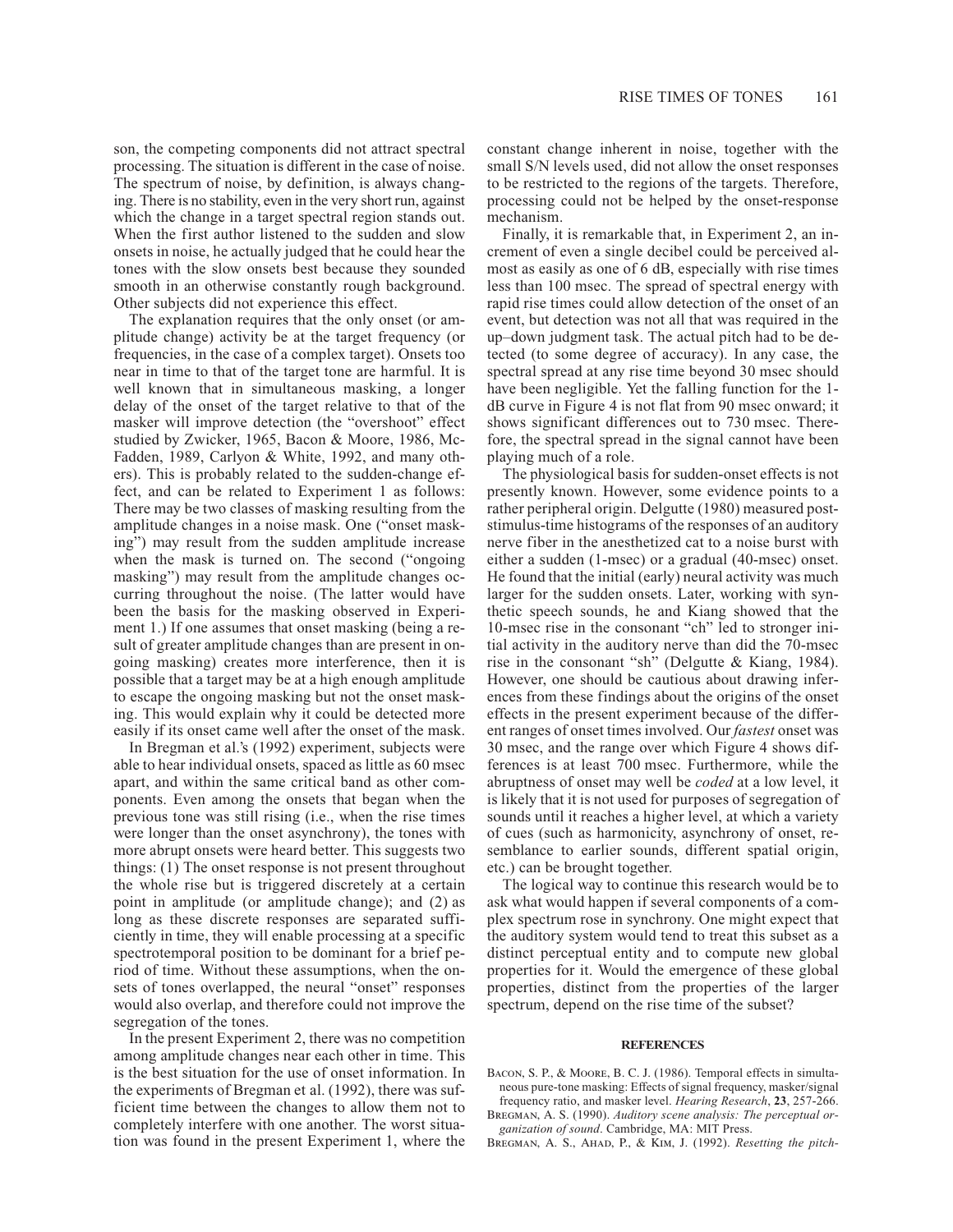son, the competing components did not attract spectral processing. The situation is different in the case of noise. The spectrum of noise, by definition, is always changing. There is no stability, even in the very short run, against which the change in a target spectral region stands out. When the first author listened to the sudden and slow onsets in noise, he actually judged that he could hear the tones with the slow onsets best because they sounded smooth in an otherwise constantly rough background. Other subjects did not experience this effect.

The explanation requires that the only onset (or amplitude change) activity be at the target frequency (or frequencies, in the case of a complex target). Onsets too near in time to that of the target tone are harmful. It is well known that in simultaneous masking, a longer delay of the onset of the target relative to that of the masker will improve detection (the "overshoot" effect studied by Zwicker, 1965, Bacon & Moore, 1986, Mc-Fadden, 1989, Carlyon & White, 1992, and many others). This is probably related to the sudden-change effect, and can be related to Experiment 1 as follows: There may be two classes of masking resulting from the amplitude changes in a noise mask. One ("onset masking") may result from the sudden amplitude increase when the mask is turned on. The second ("ongoing masking") may result from the amplitude changes occurring throughout the noise. (The latter would have been the basis for the masking observed in Experiment 1.) If one assumes that onset masking (being a result of greater amplitude changes than are present in ongoing masking) creates more interference, then it is possible that a target may be at a high enough amplitude to escape the ongoing masking but not the onset masking. This would explain why it could be detected more easily if its onset came well after the onset of the mask.

In Bregman et al.'s (1992) experiment, subjects were able to hear individual onsets, spaced as little as 60 msec apart, and within the same critical band as other components. Even among the onsets that began when the previous tone was still rising (i.e., when the rise times were longer than the onset asynchrony), the tones with more abrupt onsets were heard better. This suggests two things: (1) The onset response is not present throughout the whole rise but is triggered discretely at a certain point in amplitude (or amplitude change); and (2) as long as these discrete responses are separated sufficiently in time, they will enable processing at a specific spectrotemporal position to be dominant for a brief period of time. Without these assumptions, when the onsets of tones overlapped, the neural "onset" responses would also overlap, and therefore could not improve the segregation of the tones.

In the present Experiment 2, there was no competition among amplitude changes near each other in time. This is the best situation for the use of onset information. In the experiments of Bregman et al. (1992), there was sufficient time between the changes to allow them not to completely interfere with one another. The worst situation was found in the present Experiment 1, where the constant change inherent in noise, together with the small S/N levels used, did not allow the onset responses to be restricted to the regions of the targets. Therefore, processing could not be helped by the onset-response mechanism.

Finally, it is remarkable that, in Experiment 2, an increment of even a single decibel could be perceived almost as easily as one of 6 dB, especially with rise times less than 100 msec. The spread of spectral energy with rapid rise times could allow detection of the onset of an event, but detection was not all that was required in the up–down judgment task. The actual pitch had to be detected (to some degree of accuracy). In any case, the spectral spread at any rise time beyond 30 msec should have been negligible. Yet the falling function for the 1 dB curve in Figure 4 is not flat from 90 msec onward; it shows significant differences out to 730 msec. Therefore, the spectral spread in the signal cannot have been playing much of a role.

The physiological basis for sudden-onset effects is not presently known. However, some evidence points to a rather peripheral origin. Delgutte (1980) measured poststimulus-time histograms of the responses of an auditory nerve fiber in the anesthetized cat to a noise burst with either a sudden (1-msec) or a gradual (40-msec) onset. He found that the initial (early) neural activity was much larger for the sudden onsets. Later, working with synthetic speech sounds, he and Kiang showed that the 10-msec rise in the consonant "ch" led to stronger initial activity in the auditory nerve than did the 70-msec rise in the consonant "sh" (Delgutte & Kiang, 1984). However, one should be cautious about drawing inferences from these findings about the origins of the onset effects in the present experiment because of the different ranges of onset times involved. Our *fastest* onset was 30 msec, and the range over which Figure 4 shows differences is at least 700 msec. Furthermore, while the abruptness of onset may well be *coded* at a low level, it is likely that it is not used for purposes of segregation of sounds until it reaches a higher level, at which a variety of cues (such as harmonicity, asynchrony of onset, resemblance to earlier sounds, different spatial origin, etc.) can be brought together.

The logical way to continue this research would be to ask what would happen if several components of a complex spectrum rose in synchrony. One might expect that the auditory system would tend to treat this subset as a distinct perceptual entity and to compute new global properties for it. Would the emergence of these global properties, distinct from the properties of the larger spectrum, depend on the rise time of the subset?

#### **REFERENCES**

- BACON, S. P., & MOORE, B. C. J. (1986). Temporal effects in simultaneous pure-tone masking: Effects of signal frequency, masker/signal frequency ratio, and masker level. *Hearing Research*, **23**, 257-266.
- Bregman, A. S. (1990). *Auditory scene analysis: The perceptual organization of sound*. Cambridge, MA: MIT Press.
- Bregman, A. S., Ahad, P., & Kim, J. (1992). *Resetting the pitch-*